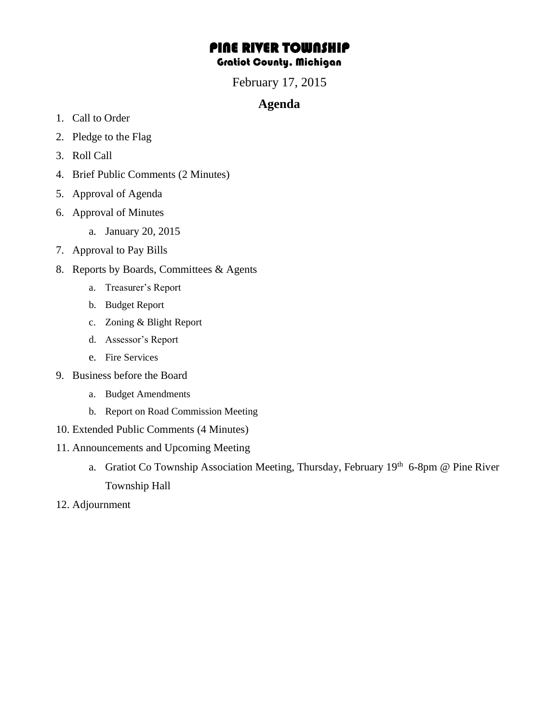## PINE RIVER TOWNSHIP Gratiot County, Michigan

February 17, 2015

## **Agenda**

- 1. Call to Order
- 2. Pledge to the Flag
- 3. Roll Call
- 4. Brief Public Comments (2 Minutes)
- 5. Approval of Agenda
- 6. Approval of Minutes
	- a. January 20, 2015
- 7. Approval to Pay Bills
- 8. Reports by Boards, Committees & Agents
	- a. Treasurer's Report
	- b. Budget Report
	- c. Zoning & Blight Report
	- d. Assessor's Report
	- e. Fire Services
- 9. Business before the Board
	- a. Budget Amendments
	- b. Report on Road Commission Meeting
- 10. Extended Public Comments (4 Minutes)
- 11. Announcements and Upcoming Meeting
	- a. Gratiot Co Township Association Meeting, Thursday, February 19th 6-8pm @ Pine River Township Hall
- 12. Adjournment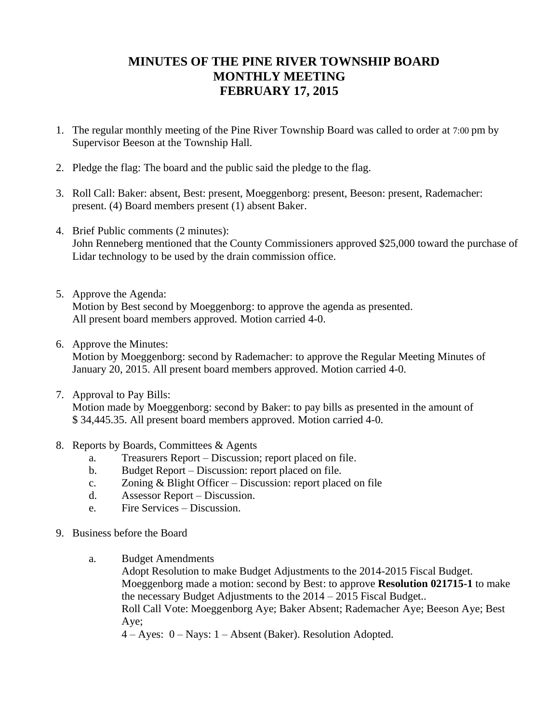## **MINUTES OF THE PINE RIVER TOWNSHIP BOARD MONTHLY MEETING FEBRUARY 17, 2015**

- 1. The regular monthly meeting of the Pine River Township Board was called to order at 7:00 pm by Supervisor Beeson at the Township Hall.
- 2. Pledge the flag: The board and the public said the pledge to the flag.
- 3. Roll Call: Baker: absent, Best: present, Moeggenborg: present, Beeson: present, Rademacher: present. (4) Board members present (1) absent Baker.
- 4. Brief Public comments (2 minutes): John Renneberg mentioned that the County Commissioners approved \$25,000 toward the purchase of Lidar technology to be used by the drain commission office.
- 5. Approve the Agenda: Motion by Best second by Moeggenborg: to approve the agenda as presented. All present board members approved. Motion carried 4-0.
- 6. Approve the Minutes:

Motion by Moeggenborg: second by Rademacher: to approve the Regular Meeting Minutes of January 20, 2015. All present board members approved. Motion carried 4-0.

- 7. Approval to Pay Bills: Motion made by Moeggenborg: second by Baker: to pay bills as presented in the amount of \$ 34,445.35. All present board members approved. Motion carried 4-0.
- 8. Reports by Boards, Committees & Agents
	- a. Treasurers Report Discussion; report placed on file.
	- b. Budget Report Discussion: report placed on file.
	- c. Zoning & Blight Officer Discussion: report placed on file
	- d. Assessor Report Discussion.
	- e. Fire Services Discussion.
- 9. Business before the Board
	- a. Budget Amendments
		- Adopt Resolution to make Budget Adjustments to the 2014-2015 Fiscal Budget. Moeggenborg made a motion: second by Best: to approve **Resolution 021715-1** to make the necessary Budget Adjustments to the 2014 – 2015 Fiscal Budget.. Roll Call Vote: Moeggenborg Aye; Baker Absent; Rademacher Aye; Beeson Aye; Best Aye;

4 – Ayes: 0 – Nays: 1 – Absent (Baker). Resolution Adopted.